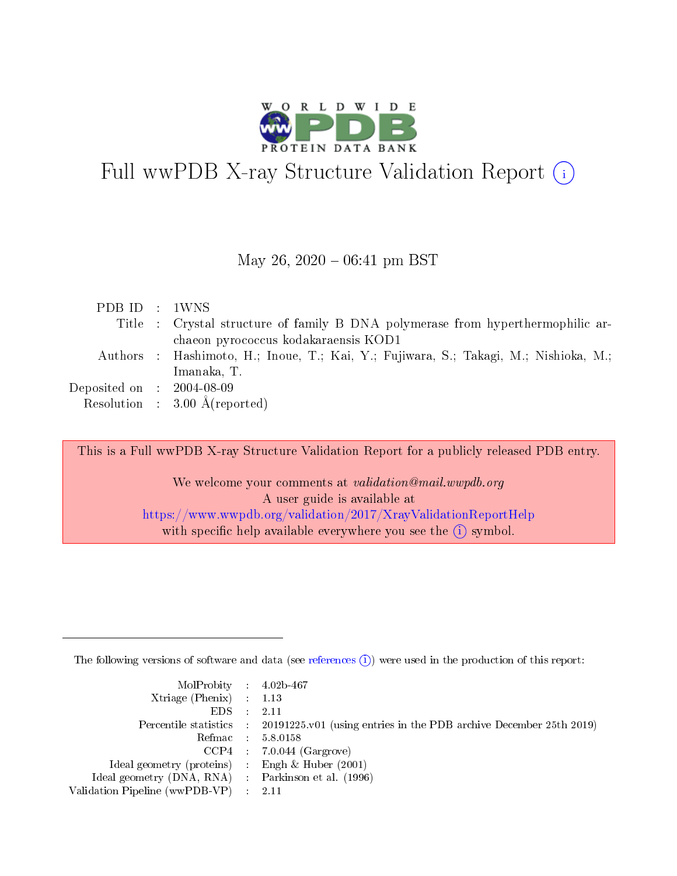

# Full wwPDB X-ray Structure Validation Report  $(i)$

#### May 26,  $2020 - 06:41$  pm BST

| PDB ID : 1WNS                        |                                                                                      |
|--------------------------------------|--------------------------------------------------------------------------------------|
|                                      | Title : Crystal structure of family B DNA polymerase from hyperthermophilic ar-      |
|                                      | chaeon pyrococcus kodakaraensis KOD1                                                 |
|                                      | Authors : Hashimoto, H.; Inoue, T.; Kai, Y.; Fujiwara, S.; Takagi, M.; Nishioka, M.; |
|                                      | Imanaka, T.                                                                          |
| Deposited on $\therefore$ 2004-08-09 |                                                                                      |
|                                      | Resolution : $3.00 \text{ Å}$ (reported)                                             |

This is a Full wwPDB X-ray Structure Validation Report for a publicly released PDB entry.

We welcome your comments at *validation@mail.wwpdb.org* A user guide is available at <https://www.wwpdb.org/validation/2017/XrayValidationReportHelp> with specific help available everywhere you see the  $(i)$  symbol.

The following versions of software and data (see [references](https://www.wwpdb.org/validation/2017/XrayValidationReportHelp#references)  $(i)$ ) were used in the production of this report:

| $MolProbability$ 4.02b-467<br>Xtriage (Phenix) $: 1.13$ |                                                                                                     |
|---------------------------------------------------------|-----------------------------------------------------------------------------------------------------|
| $EDS$ :                                                 | -2.11<br>Percentile statistics : 20191225.v01 (using entries in the PDB archive December 25th 2019) |
|                                                         | Refmac : 5.8.0158                                                                                   |
|                                                         | $CCP4$ : 7.0.044 (Gargrove)                                                                         |
| Ideal geometry (proteins) : Engh $\&$ Huber (2001)      |                                                                                                     |
| Ideal geometry (DNA, RNA) : Parkinson et al. (1996)     |                                                                                                     |
| Validation Pipeline (wwPDB-VP) :                        | -2.11                                                                                               |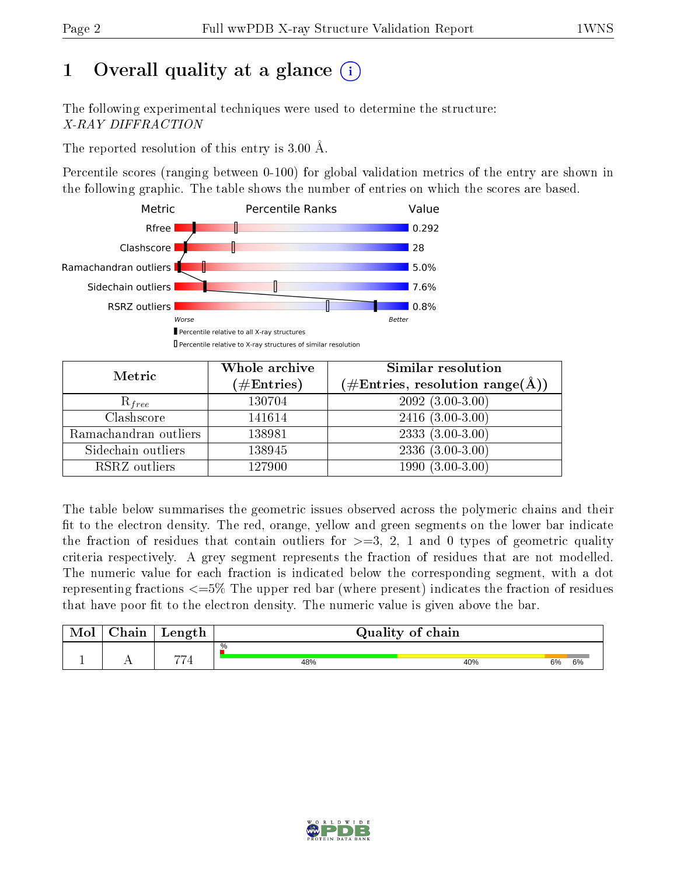# 1 [O](https://www.wwpdb.org/validation/2017/XrayValidationReportHelp#overall_quality)verall quality at a glance  $(i)$

The following experimental techniques were used to determine the structure: X-RAY DIFFRACTION

The reported resolution of this entry is 3.00 Å.

Percentile scores (ranging between 0-100) for global validation metrics of the entry are shown in the following graphic. The table shows the number of entries on which the scores are based.



| Metric                | Whole archive<br>$(\#\text{Entries})$ | Similar resolution<br>$(\#\text{Entries},\, \text{resolution}\; \text{range}(\textup{\AA}))$ |  |
|-----------------------|---------------------------------------|----------------------------------------------------------------------------------------------|--|
| $R_{free}$            | 130704                                | $209\overline{2}$ $(3.00-3.00)$                                                              |  |
| Clashscore            | 141614                                | $2416(3.00-3.00)$                                                                            |  |
| Ramachandran outliers | 138981                                | $2333(3.00-3.00)$                                                                            |  |
| Sidechain outliers    | 138945                                | $2336(3.00-3.00)$                                                                            |  |
| RSRZ outliers         | 127900                                | $1990(3.00-3.00)$                                                                            |  |

The table below summarises the geometric issues observed across the polymeric chains and their fit to the electron density. The red, orange, yellow and green segments on the lower bar indicate the fraction of residues that contain outliers for  $>=3, 2, 1$  and 0 types of geometric quality criteria respectively. A grey segment represents the fraction of residues that are not modelled. The numeric value for each fraction is indicated below the corresponding segment, with a dot representing fractions <=5% The upper red bar (where present) indicates the fraction of residues that have poor fit to the electron density. The numeric value is given above the bar.

| Mol | $\gamma$ hain | Length | Quality of chain |     |    |    |
|-----|---------------|--------|------------------|-----|----|----|
|     |               | י הה   | %                |     |    |    |
|     |               |        | 48%              | 40% | 6% | 6% |

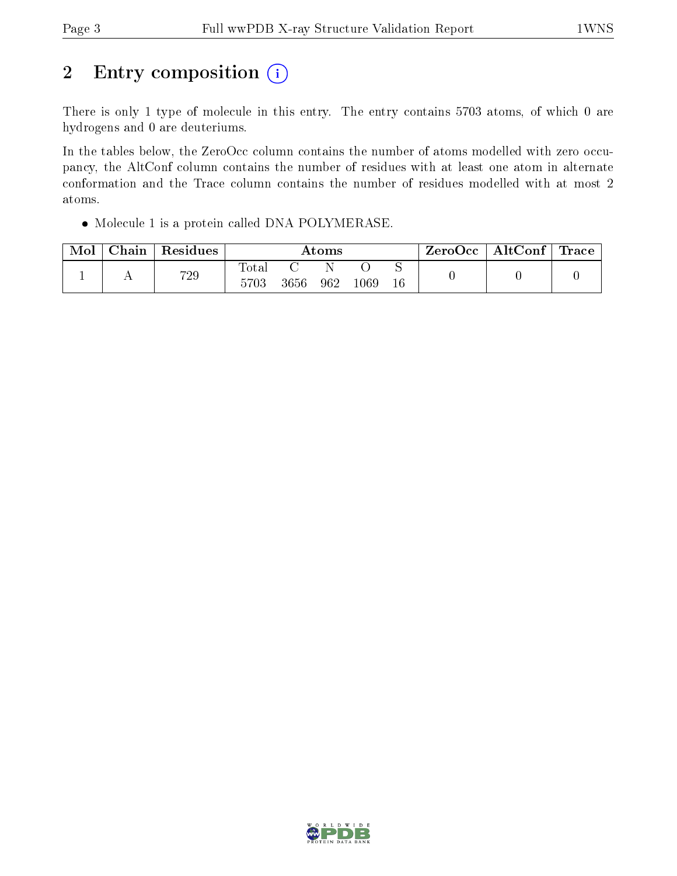# 2 Entry composition  $(i)$

There is only 1 type of molecule in this entry. The entry contains 5703 atoms, of which 0 are hydrogens and 0 are deuteriums.

In the tables below, the ZeroOcc column contains the number of atoms modelled with zero occupancy, the AltConf column contains the number of residues with at least one atom in alternate conformation and the Trace column contains the number of residues modelled with at most 2 atoms.

Molecule 1 is a protein called DNA POLYMERASE.

| Mol | Chain | Residues | $\rm{Atoms}$        |      |     |      | ZeroOcc | $\vert$ AltConf $\vert$ Trace |  |  |
|-----|-------|----------|---------------------|------|-----|------|---------|-------------------------------|--|--|
|     |       | 729      | $\rm Total$<br>5703 | 3656 | 962 | 1069 |         |                               |  |  |

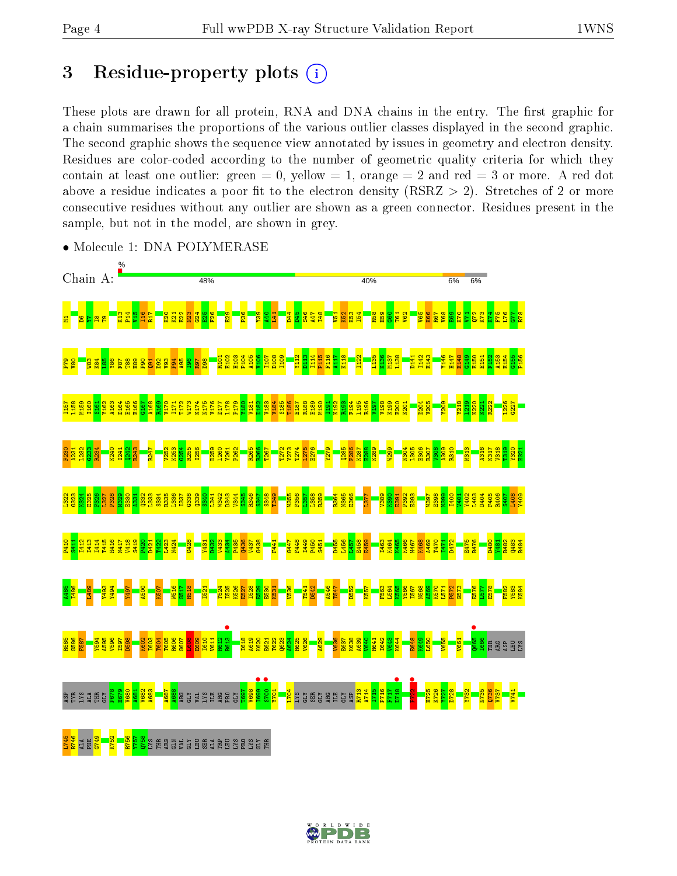## 3 Residue-property plots  $(i)$

These plots are drawn for all protein, RNA and DNA chains in the entry. The first graphic for a chain summarises the proportions of the various outlier classes displayed in the second graphic. The second graphic shows the sequence view annotated by issues in geometry and electron density. Residues are color-coded according to the number of geometric quality criteria for which they contain at least one outlier: green  $= 0$ , yellow  $= 1$ , orange  $= 2$  and red  $= 3$  or more. A red dot above a residue indicates a poor fit to the electron density (RSRZ  $> 2$ ). Stretches of 2 or more consecutive residues without any outlier are shown as a green connector. Residues present in the sample, but not in the model, are shown in grey.



• Molecule 1: DNA POLYMERASE

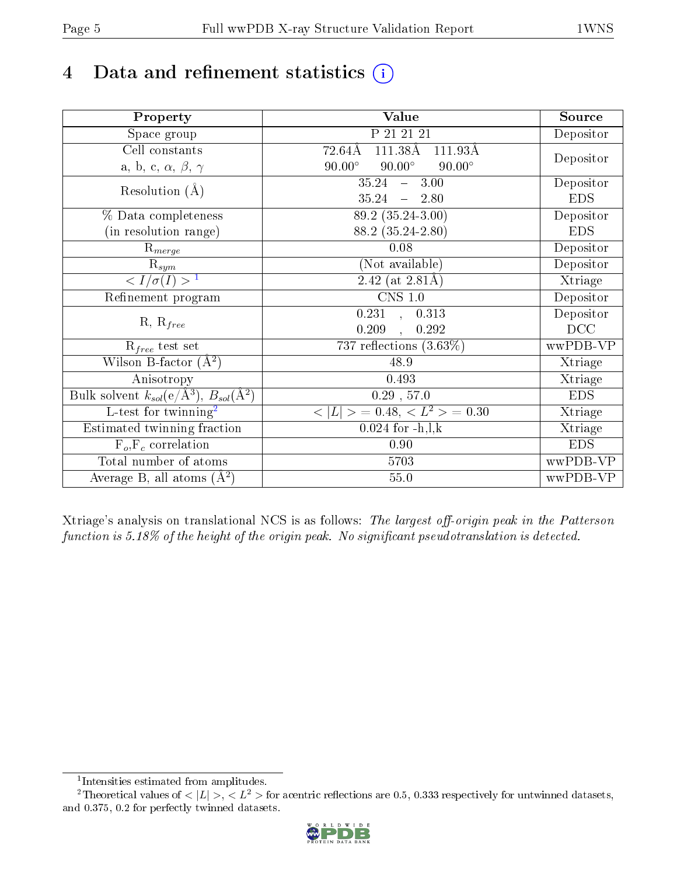# 4 Data and refinement statistics  $(i)$

| Property                                                             | Value                                           | Source     |
|----------------------------------------------------------------------|-------------------------------------------------|------------|
| Space group                                                          | P 21 21 21                                      | Depositor  |
| Cell constants                                                       | 111.38Å<br>72.64Å<br>111.93Å                    |            |
| a, b, c, $\alpha$ , $\beta$ , $\gamma$                               | $90.00^\circ$<br>$90.00^\circ$<br>$90.00^\circ$ | Depositor  |
| Resolution $(A)$                                                     | $35.24 - 3.00$                                  | Depositor  |
|                                                                      | 35.24<br>$-2.80$                                | <b>EDS</b> |
| % Data completeness                                                  | 89.2 (35.24-3.00)                               | Depositor  |
| (in resolution range)                                                | 88.2 (35.24-2.80)                               | <b>EDS</b> |
| $R_{merge}$                                                          | 0.08                                            | Depositor  |
| $\mathrm{R}_{sym}$                                                   | (Not available)                                 | Depositor  |
| $\langle I/\sigma(I) \rangle^{-1}$                                   | 2.42 (at $2.81\text{\AA}$ )                     | Xtriage    |
| Refinement program                                                   | $\overline{\text{CNS} 1.0}$                     | Depositor  |
|                                                                      | $\overline{0.231}$ ,<br>0.313                   | Depositor  |
| $R, R_{free}$                                                        | 0.209<br>0.292                                  | DCC        |
| $R_{free}$ test set                                                  | 737 reflections $(3.63\%)$                      | wwPDB-VP   |
| Wilson B-factor $(A^2)$                                              | 48.9                                            | Xtriage    |
| Anisotropy                                                           | 0.493                                           | Xtriage    |
| Bulk solvent $k_{sol}(e/\mathring{A}^3)$ , $B_{sol}(\mathring{A}^2)$ | $0.29$ , 57.0                                   | <b>EDS</b> |
| L-test for twinning <sup>2</sup>                                     | $>$ = 0.48, < $L^2$ > = 0.30<br>< L             | Xtriage    |
| Estimated twinning fraction                                          | $0.024$ for $-h, l, k$                          | Xtriage    |
| $F_o, F_c$ correlation                                               | 0.90                                            | <b>EDS</b> |
| Total number of atoms                                                | 5703                                            | wwPDB-VP   |
| Average B, all atoms $(A^2)$                                         | $55.0\,$                                        | wwPDB-VP   |

Xtriage's analysis on translational NCS is as follows: The largest off-origin peak in the Patterson function is  $5.18\%$  of the height of the origin peak. No significant pseudotranslation is detected.

<sup>&</sup>lt;sup>2</sup>Theoretical values of  $\langle |L| \rangle$ ,  $\langle L^2 \rangle$  for acentric reflections are 0.5, 0.333 respectively for untwinned datasets, and 0.375, 0.2 for perfectly twinned datasets.



<span id="page-4-1"></span><span id="page-4-0"></span><sup>1</sup> Intensities estimated from amplitudes.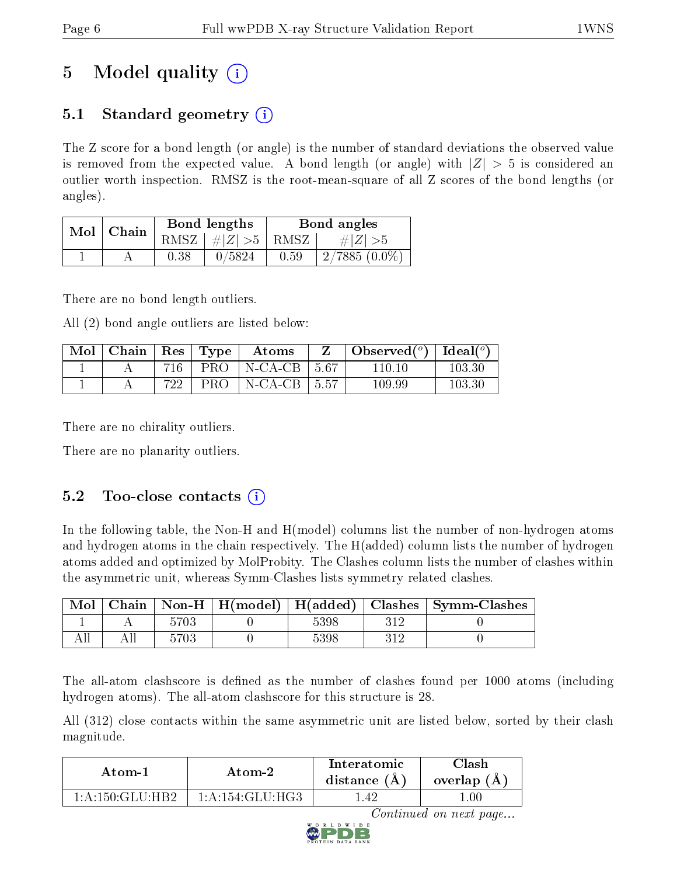# 5 Model quality  $(i)$

## 5.1 Standard geometry  $\overline{()}$

The Z score for a bond length (or angle) is the number of standard deviations the observed value is removed from the expected value. A bond length (or angle) with  $|Z| > 5$  is considered an outlier worth inspection. RMSZ is the root-mean-square of all Z scores of the bond lengths (or angles).

| Mol 1 | Chain |      | Bond lengths                          | Bond angles |                 |  |
|-------|-------|------|---------------------------------------|-------------|-----------------|--|
|       |       | RMSZ | $\vert \#  Z  > 5 \vert$ RMSZ $\vert$ |             | $\# Z  > 5$     |  |
|       |       | 0.38 | 0/5824                                | 0.59        | $2/7885(0.0\%)$ |  |

There are no bond length outliers.

All (2) bond angle outliers are listed below:

| Mol | Chain | $\vert$ Res $\vert$ | Type       | Atoms    |         | Observed $(°)$   Ideal $(°)$ |            |
|-----|-------|---------------------|------------|----------|---------|------------------------------|------------|
|     |       | 716                 | PRO        | ∣N-CA-CB | 5.67    | 110.10                       | $103.30\,$ |
|     |       | 722                 | <b>PRO</b> | N-CA-CB  | $+5.57$ | 109.99                       | 103.30     |

There are no chirality outliers.

There are no planarity outliers.

### $5.2$  Too-close contacts  $(i)$

In the following table, the Non-H and H(model) columns list the number of non-hydrogen atoms and hydrogen atoms in the chain respectively. The H(added) column lists the number of hydrogen atoms added and optimized by MolProbity. The Clashes column lists the number of clashes within the asymmetric unit, whereas Symm-Clashes lists symmetry related clashes.

| Mol |      |      |       | Chain   Non-H   H(model)   H(added)   Clashes   Symm-Clashes |
|-----|------|------|-------|--------------------------------------------------------------|
|     |      | 5398 |       |                                                              |
|     | 5703 | 5398 | ว 1 ว |                                                              |

The all-atom clashscore is defined as the number of clashes found per 1000 atoms (including hydrogen atoms). The all-atom clashscore for this structure is 28.

All (312) close contacts within the same asymmetric unit are listed below, sorted by their clash magnitude.

| Atom-1                 | Atom-2            | Interatomic<br>distance $(A)$ | <b>Clash</b><br>overlap $(A)$ |
|------------------------|-------------------|-------------------------------|-------------------------------|
| $1:$ A $:150:$ GLU HR2 | 1: A:154: GLU:HG3 | A9                            |                               |

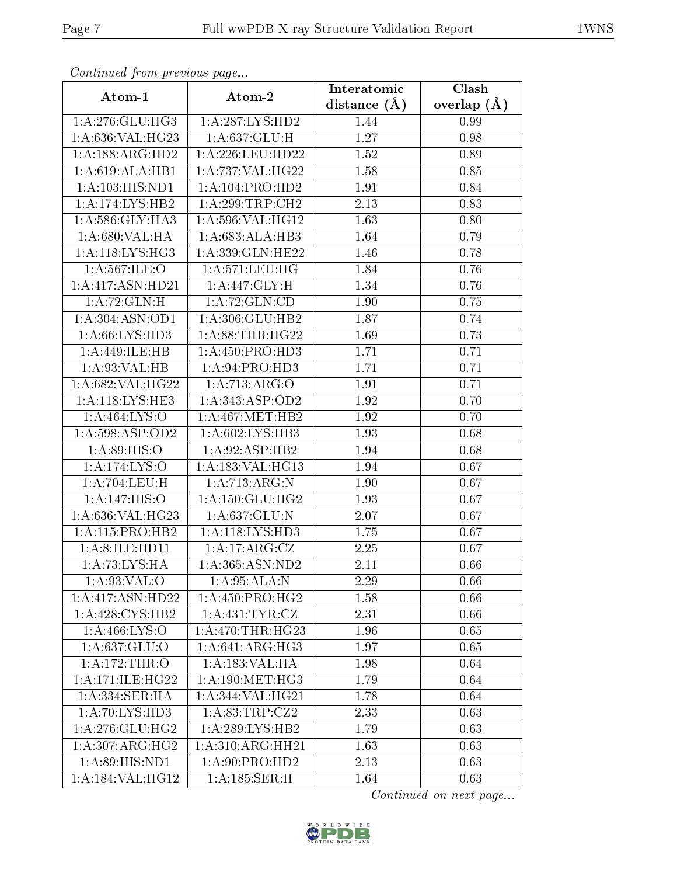| сонинией јтот ртеvноиз раде |                                   | Interatomic    | Clash           |
|-----------------------------|-----------------------------------|----------------|-----------------|
| Atom-1                      | Atom-2                            | distance $(A)$ | overlap $(\AA)$ |
| 1: A:276: GLU:HG3           | 1:A:287:LYS:HD2                   | 1.44           | 0.99            |
| 1:A:636:VAL:HG23            | 1: A:637: GLU: H                  | 1.27           | 0.98            |
| 1: A: 188: ARG: HD2         | 1: A:226:LEU:HD22                 | 1.52           | 0.89            |
| 1:A:619:ALA:HB1             | 1:A:737:VAL:HG22                  | 1.58           | 0.85            |
| 1:A:103:HIS:ND1             | 1:A:104:PRO:HD2                   | 1.91           | 0.84            |
| 1:A:174:LYS:HB2             | 1:A:299:TRP:CH2                   | 2.13           | 0.83            |
| 1: A:586: GLY:HA3           | 1:A:596:VAL:HG12                  | 1.63           | 0.80            |
| 1: A:680: VAL: HA           | 1:A:683:ALA:HB3                   | 1.64           | 0.79            |
| 1: A:118: LYS: HG3          | 1:A:339:GLN:HE22                  | 1.46           | 0.78            |
| 1:A:567:ILE:O               | 1: A:571:LEU:HG                   | 1.84           | 0.76            |
| 1:A:417:ASN:HD21            | 1:A:447:GLY:H                     | 1.34           | 0.76            |
| 1: A:72: GLN:H              | 1: A:72: GLN:CD                   | 1.90           | 0.75            |
| 1: A:304: ASN:OD1           | 1:A:306:GLU:HB2                   | 1.87           | 0.74            |
| 1: A:66: LYS:HD3            | 1: A:88:THR:HG22                  | 1.69           | 0.73            |
| 1:A:449:ILE:HB              | 1:A:450:PRO:HD3                   | 1.71           | 0.71            |
| 1: A:93: VAL:HB             | 1:A:94:PRO:HD3                    | 1.71           | 0.71            |
| 1: A:682: VAL:HG22          | 1:A:713:ARG:O                     | 1.91           | 0.71            |
| 1: A:118: LYS: HE3          | 1: A: 343: ASP: OD2               | 1.92           | 0.70            |
| 1: A: 464: LYS: O           | 1: A:467: MET:HB2                 | 1.92           | 0.70            |
| 1: A:598: ASP:OD2           | 1: A:602:LYS:HB3                  | 1.93           | 0.68            |
| $1:A:89:\overline{HIS:O}$   | 1:A:92:ASP:HB2                    | 1.94           | 0.68            |
| 1:A:174:LYS:O               | 1:A:183:VAL:HG13                  | 1.94           | 0.67            |
| 1:A:704:LEU:H               | 1:A:713:ARG:N                     | 1.90           | 0.67            |
| 1:A:147:HIS:O               | 1:A:150:GLU:HG2                   | 1.93           | 0.67            |
| 1:A:636:VAL:HG23            | 1:A:637:GLU:N                     | 2.07           | 0.67            |
| 1: A: 115: PRO: HB2         | 1: A:118: LYS: HD3                | 1.75           | 0.67            |
| 1:A:8:ILE:HD11              | 1:A:17:ARG:CZ                     | 2.25           | 0.67            |
| 1: A: 73: LYS: HA           | 1:A:365:ASN:ND2                   | 2.11           | 0.66            |
| 1: A:93: VAL:O              | 1:A:95:ALA:N                      | 2.29           | 0.66            |
| 1:A:417:ASN:HD22            | 1:A:450:PRO:HG2                   | 1.58           | 0.66            |
| 1:A:428:CYS:HB2             | 1:A:431:TYR:CZ                    | 2.31           | 0.66            |
| 1: A: 466: LYS: O           | 1: A:470:THR:HG23                 | 1.96           | 0.65            |
| 1:A:637:GLU:O               | $1:A:641:AR\overline{G:HG3}$      | 1.97           | 0.65            |
| 1:A:172:THR:O               | 1: A: 183: VAL: HA                | 1.98           | 0.64            |
| 1: A:171: ILE: HG22         | 1: A:190:MET:HG3                  | 1.79           | 0.64            |
| 1:A:334:SER:HA              | 1: A:344: VAL:HG21                | 1.78           | 0.64            |
| 1: A:70: LYS: HD3           | 1: A:83:TRP: CZ2                  | 2.33           | 0.63            |
| 1: A:276: GLU:HG2           | 1:A:289:LYS:HB2                   | 1.79           | 0.63            |
| 1: A:307: ARG: HG2          | 1: A:310:ARG:HH21                 | 1.63           | 0.63            |
| 1:A:89:HIS:ND1              | 1:A:90:PRO:HD2                    | 2.13           | 0.63            |
| 1:A:184:VAL:HG12            | $1:A:185:\overline{\text{SER:H}}$ | 1.64           | 0.63            |

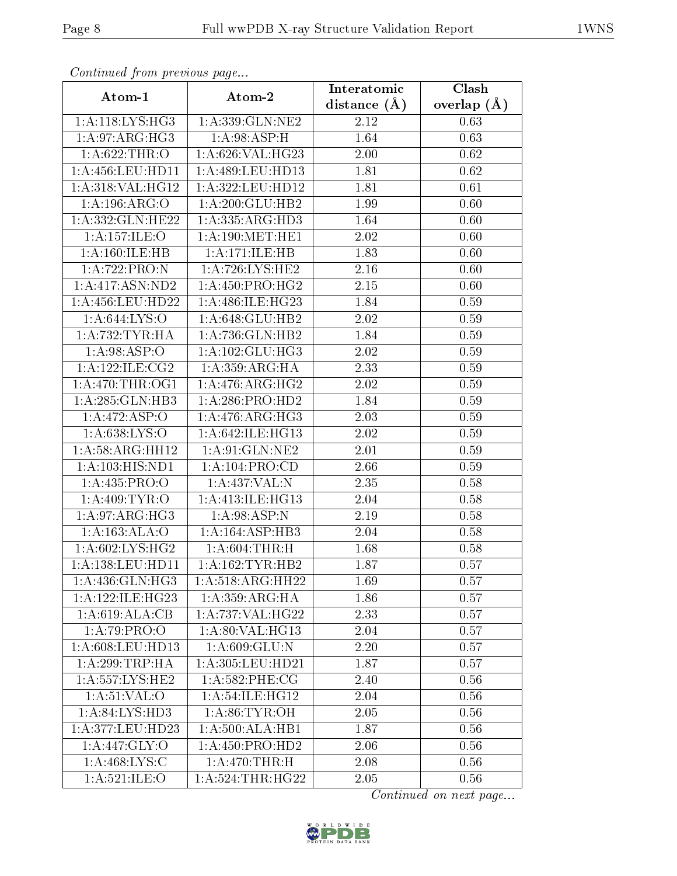| сонинией јтот ртеvиоиз раде |                      | Interatomic       | Clash         |
|-----------------------------|----------------------|-------------------|---------------|
| Atom-1                      | Atom-2               | distance $(A)$    | overlap $(A)$ |
| 1: A:118: LYS: HG3          | 1:A:339:GLN:NE2      | 2.12              | 0.63          |
| 1: A:97: ARG: HG3           | 1:A:98:ASP:H         | 1.64              | 0.63          |
| 1: A:622:THR:O              | 1:A:626:VAL:HG23     | 2.00              | 0.62          |
| 1:A:456:LEU:HD11            | 1:A:489:LEU:HD13     | 1.81              | 0.62          |
| 1:A:318:VAL:HG12            | 1: A:322:LEU:HD12    | 1.81              | 0.61          |
| 1:A:196:ARG:O               | 1:A:200:GLU:HB2      | 1.99              | 0.60          |
| 1:A:332:GLN:HE22            | 1:A:335:ARG:HD3      | 1.64              | 0.60          |
| 1:A:157:ILE:O               | 1: A: 190: MET: HE1  | $\overline{2}.02$ | 0.60          |
| 1:A:160:ILE:HB              | 1: A:171: ILE: HB    | 1.83              | 0.60          |
| 1:A:722:PRO:N               | 1: A:726: LYS: HE2   | 2.16              | 0.60          |
| 1: A:417: ASN:ND2           | 1: A: 450: PRO:HG2   | 2.15              | 0.60          |
| 1: A:456:LEU:HD22           | 1: A:486: ILE: HG23  | 1.84              | 0.59          |
| 1: A:644: LYS:O             | 1:A:648:GLU:HB2      | 2.02              | 0.59          |
| 1: A:732:TYR:HA             | 1: A:736: GLN: HB2   | 1.84              | 0.59          |
| 1: A:98: ASP:O              | 1: A: 102: GLU: HG3  | 2.02              | 0.59          |
| 1:A:122:ILE:CG2             | 1:A:359:ARG:HA       | 2.33              | 0.59          |
| 1: A:470:THR:OG1            | 1:A:476:ARG:HG2      | 2.02              | 0.59          |
| 1:A:285:GLN:HB3             | 1: A:286:PRO:HD2     | 1.84              | 0.59          |
| 1:A:472:ASP:O               | 1:A:476:ARG:HG3      | 2.03              | 0.59          |
| 1: A:638: LYS:O             | 1: A:642: ILE: HG13  | 2.02              | 0.59          |
| 1:A:58:ARG:HH12             | 1:A:91:GLN:NE2       | 2.01              | 0.59          |
| 1:A:103:HIS:ND1             | 1:A:104:PRO:CD       | 2.66              | 0.59          |
| 1:A:435:PRO:O               | 1:A:437:VAL:N        | 2.35              | 0.58          |
| 1: A:409: TYR:O             | 1:A:413:ILE:HG13     | 2.04              | 0.58          |
| 1:A:97:ARG:HG3              | 1: A:98: ASP:N       | 2.19              | 0.58          |
| 1:A:163:ALA:O               | 1:A:164:ASP:HB3      | 2.04              | 0.58          |
| 1:A:602:LYS:HG2             | 1: A:604:THR:H       | 1.68              | 0.58          |
| 1:A:138:LEU:HD11            | 1:A:162:TYR:HB2      | 1.87              | 0.57          |
| 1:A:436:GLN:HG3             | 1: A:518: ARG: HH22  | 1.69              | 0.57          |
| 1: A: 122: ILE: HG23        | 1:A:359:ARG:HA       | 1.86              | 0.57          |
| 1: A:619:ALA:CB             | 1:A:737:VAL:HG22     | 2.33              | 0.57          |
| 1:A:79:PRO:O                | 1: A:80: VAL:HG13    | 2.04              | 0.57          |
| 1: A:608:LEU:HD13           | 1:A:609:GLU:N        | 2.20              | 0.57          |
| 1:A:299:TRP:HA              | 1: A: 305: LEU: HD21 | 1.87              | 0.57          |
| 1: A: 557: LYS: HE2         | $1: A:582:$ PHE:CG   | 2.40              | 0.56          |
| 1: A:51:VAL:O               | 1: A:54: ILE: HG12   | 2.04              | 0.56          |
| 1:A:84:LYS:HD3              | 1: A:86: TYR:OH      | 2.05              | 0.56          |
| 1:A:377:LEU:HD23            | 1:A:500:ALA:HB1      | 1.87              | 0.56          |
| 1:A:447:GLY:O               | 1:A:450:PRO:HD2      | 2.06              | 0.56          |
| 1: A:468: LYS:C             | 1: A:470:THR:H       | 2.08              | 0.56          |
| 1: A:521: ILE: O            | 1: A:524:THR:HG22    | 2.05              | 0.56          |

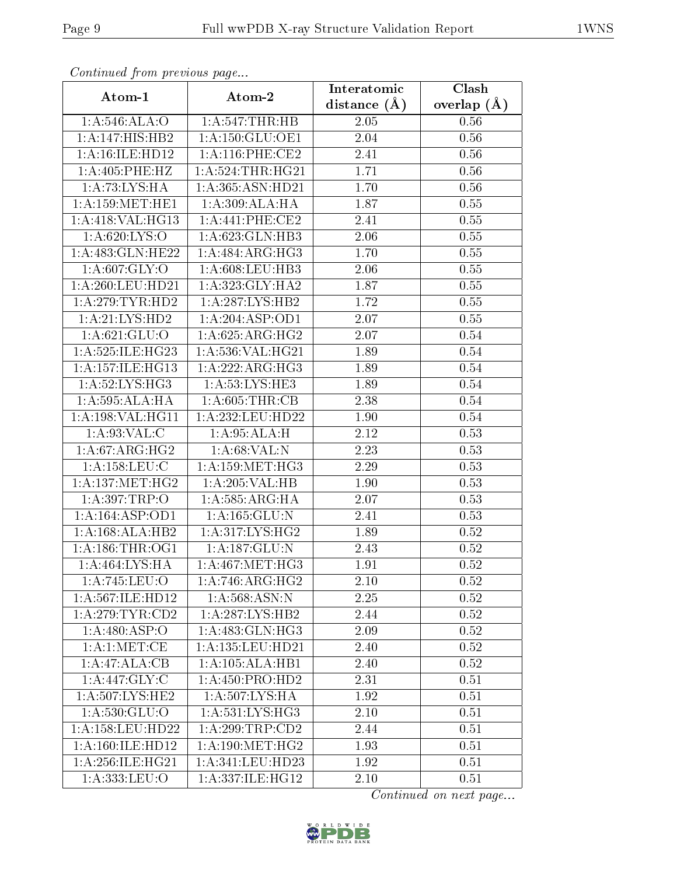| Communa from previous page                 |                             | Interatomic      | Clash         |
|--------------------------------------------|-----------------------------|------------------|---------------|
| Atom-1                                     | Atom-2                      | distance $(\AA)$ | overlap $(A)$ |
| 1: A:546:ALA:O                             | 1: A:547:THR:HB             | 2.05             | 0.56          |
| 1:A:147:HIS:HB2                            | 1:A:150:GLU:OE1             | 2.04             | 0.56          |
| 1: A:16: ILE: HD12                         | $1: A:116:$ PHE:CE2         | 2.41             | 0.56          |
| 1:A:405:PHE:HZ                             | 1: A: 524: THR: HG21        | 1.71             | 0.56          |
| 1: A:73: LYS: HA                           | 1:A:365:ASN:HD21            | 1.70             | 0.56          |
| 1: A: 159: MET: HE1                        | 1:A:309:ALA:HA              | 1.87             | 0.55          |
| 1:A:418:VAL:HG13                           | 1:A:441:PHE:CE2             | 2.41             | 0.55          |
| 1: A:620: LYS:O                            | 1:A:623:GLN:HB3             | 2.06             | 0.55          |
| 1:A:483:GLN:HE22                           | 1:A:484:ARG:HG3             | 1.70             | 0.55          |
| 1: A:607: GLY:O                            | 1: A:608:LEU:HB3            | 2.06             | 0.55          |
| 1:A:260:LEU:HD21                           | 1:A:323:GLY:HA2             | 1.87             | 0.55          |
| 1: A:279:TYR:HD2                           | 1:A:287:LYS:HB2             | 1.72             | 0.55          |
| 1: A:21: LYS: HD2                          | 1:A:204:ASP:OD1             | 2.07             | 0.55          |
| 1:A:621:GLU:O                              | 1: A:625: ARG:HG2           | 2.07             | 0.54          |
| 1:A:525:ILE:HG23                           | 1:A:536:VAL:HG21            | 1.89             | 0.54          |
| 1: A:157: ILE: HGI3                        | 1:A:222:ARG:HG3             | 1.89             | 0.54          |
| $1: A:52:\overline{\text{LYS}:\text{HG3}}$ | 1: A: 53: LYS: HE3          | 1.89             | 0.54          |
| 1:A:595:ALA:HA                             | 1: A:605:THR:CB             | 2.38             | 0.54          |
| 1:A:198:VAL:HG11                           | 1:A:232:LEU:HD22            | 1.90             | 0.54          |
| 1: A:93: VAL:C                             | 1: A:95: ALA:H              | 2.12             | 0.53          |
| 1:A:67:ARG:HG2                             | 1: A:68: VAL:N              | 2.23             | 0.53          |
| 1: A:158:LEU:C                             | 1: A:159:MET:HG3            | 2.29             | 0.53          |
| 1: A: 137: MET:HG2                         | 1:A:205:VAL:HB              | 1.90             | 0.53          |
| 1: A:397:TRP:O                             | 1:A:585:ARG:HA              | 2.07             | 0.53          |
| 1:A:164:ASP:OD1                            | 1: A: 165: GLU: N           | 2.41             | 0.53          |
| 1:A:168:ALA:HB2                            | 1:A:317:LYS:HG2             | 1.89             | 0.52          |
| 1: A: 186: THR: OG1                        | 1:A:187:GLU:N               | 2.43             | 0.52          |
| 1:A:464:LYS:HA                             | 1: A:467: MET:HG3           | 1.91             | 0.52          |
| 1:A:745:LEU:O                              | 1: A:746:ARG:HG2            | 2.10             | 0.52          |
| 1:A:567:ILE:HD12                           | 1: A: 568: ASN: N           | 2.25             | 0.52          |
| 1: A:279:TYR:CD2                           | 1:A:287:LYS:HB2             | 2.44             | 0.52          |
| 1: A:480: ASP:O                            | 1:A:483:GLN:HG3             | 2.09             | 0.52          |
| 1: A:1: MET:CE                             | 1:A:135:LEU:HD21            | 2.40             | 0.52          |
| 1:A:47:ALA:CB                              | 1:A:105:ALA:HB1             | $2.40\,$         | 0.52          |
| 1: A:447: GLY: C                           | 1:A:450:PRO:H <sub>D2</sub> | 2.31             | 0.51          |
| 1: A:507:LYS:HE2                           | 1: A:507: LYS: HA           | 1.92             | 0.51          |
| 1: A: 530: GLU:O                           | 1: A:531:LYS:HG3            | 2.10             | 0.51          |
| 1:A:158:LEU:HD22                           | 1: A:299:TRP:CD2            | 2.44             | 0.51          |
| 1: A:160: ILE: HD12                        | 1: A:190:MET:HG2            | 1.93             | 0.51          |
| 1: A:256: ILE: HG21                        | 1:A:341:LEU:HD23            | 1.92             | 0.51          |
| 1:A:333:LEU:O                              | 1:A:337:ILE:HG12            | 2.10             | 0.51          |

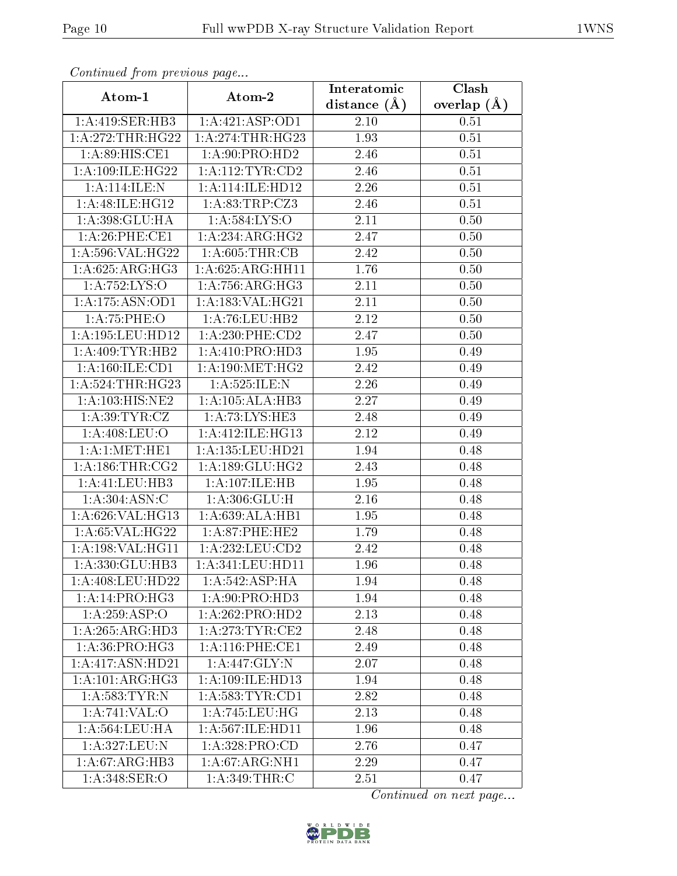| Continuea from previous page<br>Clash<br>Interatomic |                        |                   |                 |  |
|------------------------------------------------------|------------------------|-------------------|-----------------|--|
| Atom-1                                               | Atom-2                 | distance $(A)$    | overlap $(\AA)$ |  |
| 1:A:419:SER:HB3                                      | 1: A:421: ASP:OD1      | 2.10              | 0.51            |  |
| 1:A:272:THR:HG22                                     | 1: A:274:THR:HG23      | 1.93              | $0.51\,$        |  |
| 1:A:89:HIS:CE1                                       | 1: A:90: PRO:HD2       | 2.46              | 0.51            |  |
| 1: A:109: ILE: HG22                                  | 1: A:112: TYR: CD2     | 2.46              | 0.51            |  |
| 1:A:114:ILE:N                                        | 1:A:114:IE:HD12        | 2.26              | $0.51\,$        |  |
| 1:A:48:ILE:HG12                                      | 1: A:83:TRP: CZ3       | 2.46              | 0.51            |  |
| 1:A:398:GLU:HA                                       | 1: A: 584: LYS: O      | 2.11              | 0.50            |  |
| 1: A:26: PHE:CE1                                     | 1:A:234:ARG:HG2        | 2.47              | 0.50            |  |
| 1:A:596:VAL:HG22                                     | 1: A:605:THR:CB        | 2.42              | 0.50            |  |
| 1: A:625: ARG: HG3                                   | 1: A:625: ARG: HH11    | 1.76              | 0.50            |  |
| 1:A:752:LYS:O                                        | 1: A:756:ARG:HG3       | 2.11              | 0.50            |  |
| 1:A:175:ASN:OD1                                      | 1:A:183:VAL:HG21       | $\overline{2.11}$ | 0.50            |  |
| 1: A:75:PHE:O                                        | 1:A:76:LEU:HB2         | 2.12              | 0.50            |  |
| 1:A:195:LEU:HD12                                     | $1: A:230:$ PHE: $CD2$ | 2.47              | 0.50            |  |
| 1:A:409:TYR:HB2                                      | 1:A:410:PRO:HD3        | 1.95              | 0.49            |  |
| 1: A: 160: ILE: CD1                                  | 1: A: 190:MET:HG2      | 2.42              | 0.49            |  |
| 1: A: 524:THR: HG23                                  | 1: A:525: ILE:N        | 2.26              | 0.49            |  |
| $1:A:103:HIS:N\overline{E2}$                         | 1:A:105:ALA:HB3        | 2.27              | 0.49            |  |
| 1: A:39:TYR:CZ                                       | 1:A:73:LYS:HE3         | 2.48              | 0.49            |  |
| 1: A:408: LEU:O                                      | 1:A:412:ILE:HG13       | 2.12              | 0.49            |  |
| 1:A:1:MET:HE1                                        | 1: A: 135: LEU: HD21   | 1.94              | 0.48            |  |
| 1: A: 186: THR: CG2                                  | 1: A: 189: GLU: HG2    | 2.43              | 0.48            |  |
| 1:A:41:LEU:HB3                                       | 1:A:107:ILE:HB         | 1.95              | 0.48            |  |
| 1: A:304: ASN: C                                     | 1:A:306:GLU:H          | 2.16              | 0.48            |  |
| 1:A:626:VAL:HG13                                     | 1:A:639:ALA:HB1        | 1.95              | 0.48            |  |
| 1: A:65: VAL:HG22                                    | 1: A:87:PHE:HE2        | 1.79              | 0.48            |  |
| 1:A:198:VAL:HG11                                     | 1:A:232:LEU:CD2        | 2.42              | 0.48            |  |
| 1:A:330:GLU:HB3                                      | 1:A:341:LEU:HD11       | 1.96              | 0.48            |  |
| 1:A:408:LEU:HD22                                     | 1:A:542:ASP:HA         | 1.94              | 0.48            |  |
| 1:A:14:PRO:H <sub>G3</sub>                           | 1: A:90: PRO:HD3       | 1.94              | 0.48            |  |
| 1:A:259:ASP:O                                        | 1:A:262:PRO:HD2        | 2.13              | 0.48            |  |
| 1: A:265: ARG:HD3                                    | 1: A:273:TYR:CE2       | 2.48              | 0.48            |  |
| 1: A:36: PRO:HG3                                     | $1: A:116:$ PHE:CE1    | 2.49              | 0.48            |  |
| 1: A:417: ASN:HD21                                   | 1: A:447: GLY:N        | 2.07              | 0.48            |  |
| 1:A:101:ARG:HG3                                      | 1: A: 109: ILE: HD13   | 1.94              | 0.48            |  |
| 1:A:583:TYR:N                                        | 1: A:583:TYR:CD1       | 2.82              | 0.48            |  |
| 1:A:741:VAL:O                                        | 1: A:745:LEU:HG        | 2.13              | 0.48            |  |
| 1:A:564:LEU:HA                                       | 1:A:567:ILE:HD11       | 1.96              | 0.48            |  |
| 1:A:327:LEU:N                                        | 1: A: 328: PRO:CD      | 2.76              | 0.47            |  |
| $1:A:67:AR\overline{G:HB3}$                          | 1:A:67:ARG:NH1         | 2.29              | 0.47            |  |
| $1: A:348: \overline{\text{SER}:O}$                  | 1:A:349:THR:C          | 2.51              | 0.47            |  |

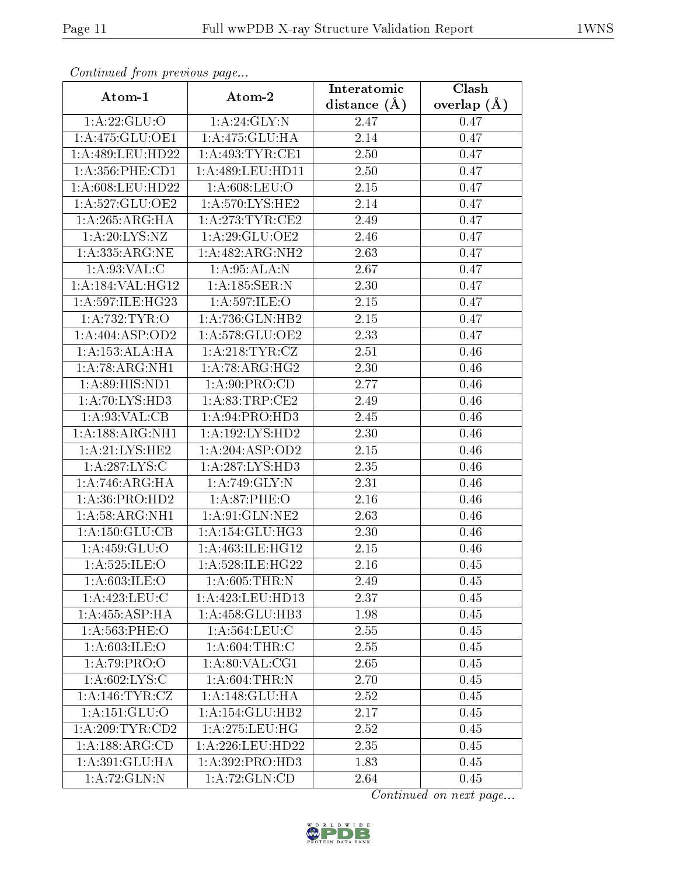| сонинией јтот ртеvиоиз раде<br>Interatomic |                              |                   | Clash         |
|--------------------------------------------|------------------------------|-------------------|---------------|
| Atom-1                                     | Atom-2                       | distance $(A)$    | overlap $(A)$ |
| 1:A:22:GLU:O                               | 1: A:24: GLY:N               | 2.47              | 0.47          |
| 1: A:475: GLU:OE1                          | 1:A:475:GLU:HA               | 2.14              | 0.47          |
| 1: A:489:LEU:HD22                          | 1: A:493:TYR:CE1             | 2.50              | 0.47          |
| 1: A: 356: PHE: CD1                        | 1:A:489:LEU:HD11             | 2.50              | 0.47          |
| 1:A:608:LEU:HD22                           | 1: A:608:LEU:O               | 2.15              | 0.47          |
| 1:A:527:GLU:OE2                            | 1: A:570: LYS: HE2           | 2.14              | 0.47          |
| 1: A:265:ARG:HA                            | 1: A:273:TYR:CE2             | 2.49              | 0.47          |
| 1: A:20: LYS: NZ                           | 1:A:29:GLU:OE2               | 2.46              | 0.47          |
| 1:A:335:ARG:NE                             | 1:A:482:ARG:NH2              | 2.63              | 0.47          |
| 1: A:93: VAL:C                             | 1: A:95: ALA: N              | 2.67              | 0.47          |
| 1:A:184:VAL:HG12                           | 1:A:185:SER:N                | 2.30              | 0.47          |
| 1: A:597: ILE: HG23                        | 1:A:597:ILE:O                | 2.15              | 0.47          |
| 1: A:732:TYR:O                             | $1:A:736:GLN:\overline{HB2}$ | 2.15              | 0.47          |
| 1:A:404:ASP:OD2                            | 1: A:578: GLU:OE2            | 2.33              | 0.47          |
| 1:A:153:ALA:HA                             | 1: A:218: TYR: CZ            | 2.51              | $0.46\,$      |
| $1:A:78:ARG:\overline{NH1}$                | 1:A:78:ARG:HG2               | 2.30              | 0.46          |
| 1: A:89: HIS: ND1                          | 1: A:90: PRO:CD              | 2.77              | 0.46          |
| 1: A:70: LYS: HD3                          | 1: A:83:TRP:CE2              | 2.49              | 0.46          |
| 1:A:93:VAL:CB                              | $1:A:94:\overline{PRO:HD3}$  | 2.45              | $0.46\,$      |
| 1:A:188:ARG:NH1                            | 1:A:192:LYS:HD2              | 2.30              | 0.46          |
| 1: A:21: LYS: HE2                          | 1: A:204:ASP:OD2             | 2.15              | $0.46\,$      |
| 1:A:287:LYS:C                              | 1: A: 287: LYS: HD3          | 2.35              | 0.46          |
| 1: A:746:ARG:HA                            | 1:A:749:GLY:N                | 2.31              | 0.46          |
| 1:A:36:PRO:HD2                             | 1:A:87:PHE:O                 | 2.16              | 0.46          |
| 1:A:58:ARG:NH1                             | 1: A:91: GLN: NE2            | 2.63              | 0.46          |
| 1:A:150:GLU:CB                             | 1:A:154:GLU:HG3              | 2.30              | 0.46          |
| 1:A:459:GLU:O                              | 1:A:463:ILE:HG12             | $\overline{2}.15$ | 0.46          |
| 1:A:525:ILE:O                              | 1:A:528:ILE:HG22             | 2.16              | 0.45          |
| 1: A:603: ILE:O                            | 1: A:605:THR:N               | 2.49              | 0.45          |
| 1: A:423: LEU: C                           | 1:A:423:LEU:HD13             | 2.37              | 0.45          |
| 1: A:455: ASP:HA                           | 1: A:458: GLU:HB3            | 1.98              | 0.45          |
| 1:A:563:PHE:O                              | $1: A: 564:$ LEU:C           | 2.55              | 0.45          |
| 1: A:603: ILE:O                            | 1: A:604:THR:C               | 2.55              | 0.45          |
| 1:A:79:PRO:O                               | 1: A:80: VAL:CG1             | 2.65              | 0.45          |
| 1: A:602: LYS:C                            | 1: A:604:THR:N               | 2.70              | 0.45          |
| 1: A:146: TYR: CZ                          | 1:A:148:GLU:HA               | 2.52              | 0.45          |
| 1:A:151:GLU:O                              | 1:A:154:GLU:HB2              | 2.17              | 0.45          |
| 1: A:209:TYR:CD2                           | 1: A:275: LEU: HG            | 2.52              | 0.45          |
| 1:A:188:ARG:CD                             | 1: A:226:LEU:HD22            | 2.35              | 0.45          |
| 1:A:391:GLU:HA                             | 1:A:392:PRO:HD3              | 1.83              | 0.45          |
| $1:A:72:\overline{GLN:N}$                  | 1: A:72: GLN:CD              | 2.64              | 0.45          |

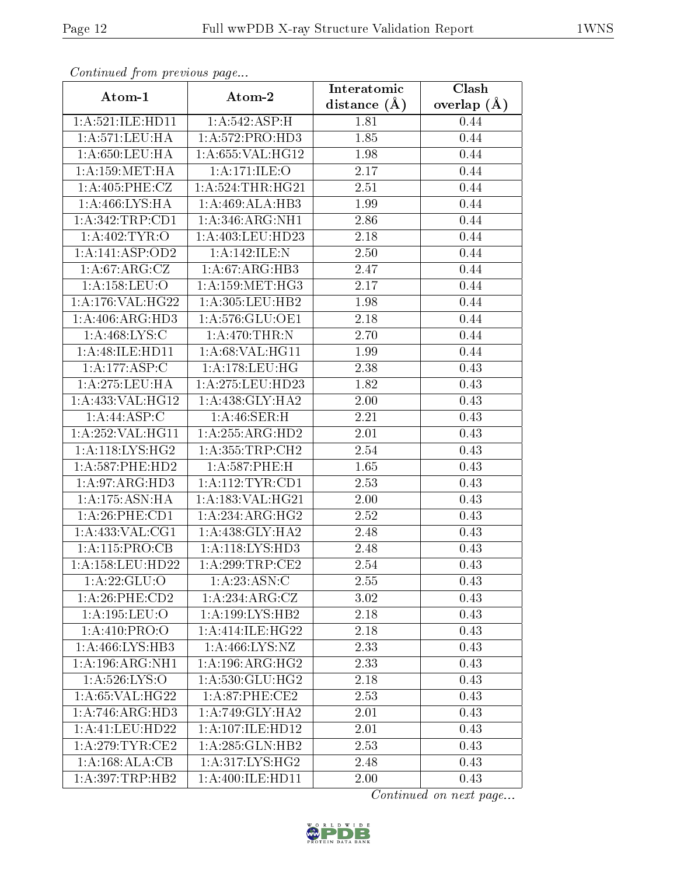| Commuca from previous page |                     | Interatomic    | Clash           |
|----------------------------|---------------------|----------------|-----------------|
| Atom-1                     | Atom-2              | distance $(A)$ | overlap $(\AA)$ |
| 1: A:521: ILE: HD11        | 1:A:542:ASP:H       | 1.81           | 0.44            |
| 1:A:571:LEU:HA             | 1:A:572:PRO:HD3     | 1.85           | 0.44            |
| 1: A:650:LEU:HA            | 1: A:655: VAL:HG12  | 1.98           | 0.44            |
| 1: A: 159: MET: HA         | 1:A:171:ILE:O       | 2.17           | 0.44            |
| 1: A:405: PHE: CZ          | 1: A:524:THR:HG21   | 2.51           | 0.44            |
| 1:A:466:LYS:HA             | 1:A:469:ALA:HB3     | 1.99           | 0.44            |
| 1:A:342:TRP:CD1            | 1:A:346:ARG:NH1     | 2.86           | 0.44            |
| 1: A:402:TYR:O             | 1:A:403:LEU:HD23    | 2.18           | 0.44            |
| 1:A:141:ASP:OD2            | 1:A:142:ILE:N       | 2.50           | 0.44            |
| 1:A:67:ARG:CZ              | 1: A:67: ARG:HB3    | 2.47           | 0.44            |
| 1: A: 158: LEU: O          | 1: A: 159: MET:HG3  | 2.17           | 0.44            |
| 1:A:176:VAL:HG22           | 1:A:305:LEU:HB2     | 1.98           | 0.44            |
| 1: A:406: ARG:HD3          | 1:A:576:GLU:OE1     | 2.18           | 0.44            |
| 1: A:468: LYS:C            | 1:A:470:THR:N       | 2.70           | 0.44            |
| 1:A:48:ILE:HD11            | 1: A:68: VAL:HGI1   | 1.99           | 0.44            |
| 1:A:177:ASP:C              | 1: A:178:LEU:HG     | 2.38           | 0.43            |
| 1:A:275:LEU:HA             | 1:A:275:LEU:HD23    | 1.82           | 0.43            |
| 1:A:433:VAL:HG12           | 1:A:438:GLY:HA2     | 2.00           | 0.43            |
| 1: A:44: ASP:C             | 1:A:46:SER:H        | 2.21           | 0.43            |
| 1:A:252:VAL:HG11           | 1:A:255:ARG:HD2     | 2.01           | 0.43            |
| 1: A:118: LYS: HG2         | 1: A: 355: TRP: CH2 | 2.54           | 0.43            |
| 1: A:587:PHE:HD2           | 1:A:587:PHE:H       | 1.65           | 0.43            |
| 1: A:97: ARG:HD3           | 1: A:112:TYR:CD1    | 2.53           | 0.43            |
| 1:A:175:ASN:HA             | 1:A:183:VAL:HG21    | 2.00           | 0.43            |
| 1: A:26:PHE:CD1            | 1:A:234:ARG:HG2     | 2.52           | 0.43            |
| 1: A: 433: VAL: CG1        | 1:A:438:GLY:HA2     | 2.48           | 0.43            |
| 1:A:115:PRO:CB             | 1: A:118: LYS: HD3  | 2.48           | 0.43            |
| 1: A: 158: LEU: HD22       | 1: A:299:TRP:CE2    | 2.54           | 0.43            |
| 1:A:22:GLU:O               | 1:A:23:ASN:C        | 2.55           | 0.43            |
| $1: A:26:$ PHE:CD2         | 1:A:234:ARG:CZ      | 3.02           | 0.43            |
| 1: A: 195: LEU: O          | 1:A:199:LYS:HB2     | 2.18           | 0.43            |
| 1:A:410:PRO:O              | 1:A:414:ILE:HG22    | 2.18           | 0.43            |
| 1:A:466:LYS:HB3            | 1: A:466: LYS: NZ   | 2.33           | 0.43            |
| 1: A: 196: ARG: NH1        | 1: A:196: ARG:HG2   | 2.33           | 0.43            |
| 1: A:526: LYS:O            | 1: A:530: GLU: HG2  | 2.18           | 0.43            |
| 1:A:65:VAL:HG22            | 1:A:87:PHE:CE2      | 2.53           | 0.43            |
| 1: A:746: ARG:HD3          | 1: A:749: GLY:HA2   | 2.01           | 0.43            |
| 1:A:41:LEU:HD22            | 1: A:107: ILE: HD12 | 2.01           | 0.43            |
| 1: A:279:TYR:CE2           | 1: A:285: GLN:HB2   | 2.53           | 0.43            |
| 1:A:168:ALA:CB             | 1:A:317:LYS:HG2     | 2.48           | 0.43            |
| 1:A:397:TRP:HB2            | 1:A:400:ILE:HD11    | 2.00           | 0.43            |

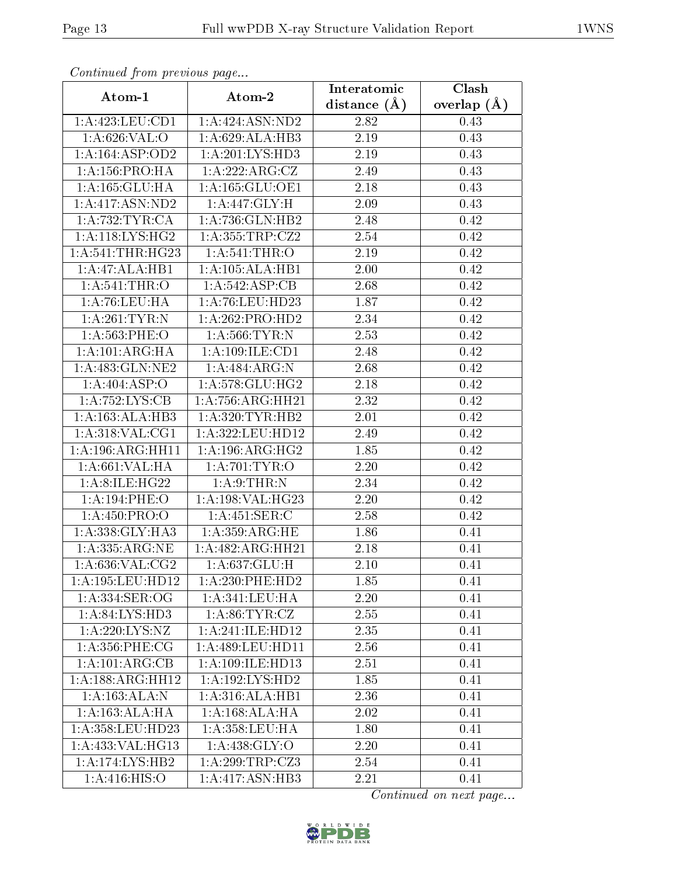| Continuea from previous page<br>Clash<br>Interatomic |                     |                |               |  |
|------------------------------------------------------|---------------------|----------------|---------------|--|
| Atom-1                                               | Atom-2              | distance $(A)$ | overlap $(A)$ |  |
| 1: A: 423: LEU: CD1                                  | 1:A:424:ASN:ND2     | 2.82           | 0.43          |  |
| 1: A:626: VAL:O                                      | 1:A:629:ALA:HB3     | 2.19           | 0.43          |  |
| 1:A:164:ASP:OD2                                      | 1: A:201:LYS:HD3    | 2.19           | 0.43          |  |
| 1: A: 156: PRO: HA                                   | 1:A:222:ARG:CZ      | 2.49           | 0.43          |  |
| 1:A:165:GLU:HA                                       | 1: A: 165: GLU: OE1 | 2.18           | 0.43          |  |
| 1: A:417: ASN: ND2                                   | 1:A:447:GLY:H       | 2.09           | 0.43          |  |
| 1: A:732:TYR:CA                                      | 1:A:736:GLN:HB2     | 2.48           | 0.42          |  |
| 1:A:118:LYS:HG2                                      | 1: A: 355: TRP: CZ2 | 2.54           | 0.42          |  |
| 1: A:541:THR:HG23                                    | 1: A:541:THR:O      | 2.19           | 0.42          |  |
| 1:A:47:ALA:HB1                                       | 1:A:105:ALA:HB1     | 2.00           | 0.42          |  |
| 1: A:541:THR:O                                       | 1:A:542:ASP:CB      | 2.68           | 0.42          |  |
| 1: A:76: LEU: HA                                     | 1: A:76: LEU: HD23  | 1.87           | 0.42          |  |
| 1:A:261:TYR:N                                        | 1:A:262:PRO:HD2     | 2.34           | 0.42          |  |
| 1: A:563:PHE:O                                       | 1: A:566:TYR:N      | 2.53           | 0.42          |  |
| 1: A:101: ARG:HA                                     | 1: A:109: ILE: CD1  | 2.48           | 0.42          |  |
| 1:A:483:GLN:NE2                                      | 1:A:484:ARG:N       | 2.68           | 0.42          |  |
| 1:A:404:ASP:O                                        | 1: A:578: GLU:HG2   | 2.18           | 0.42          |  |
| 1:A:752:LYS:CB                                       | 1: A:756:ARG:HH21   | 2.32           | 0.42          |  |
| 1:A:163:ALA:HB3                                      | 1:A:320:TYR:HB2     | 2.01           | 0.42          |  |
| 1: A:318: VAL:CG1                                    | 1:A:322:LEU:HD12    | 2.49           | 0.42          |  |
| 1:A:196:ARG:HH11                                     | 1:A:196:ARG:HG2     | 1.85           | 0.42          |  |
| 1: A:661:VAL:HA                                      | 1:A:701:TYR:O       | 2.20           | 0.42          |  |
| 1:A:8:ILE:HG22                                       | 1: A:9: THEN: N     | 2.34           | 0.42          |  |
| 1:A:194:PHE:O                                        | 1:A:198:VAL:HG23    | 2.20           | 0.42          |  |
| 1:A:450:PRO:O                                        | 1:A:451:SER:C       | 2.58           | 0.42          |  |
| 1:A:338:GLY:HA3                                      | 1:A:359:ARG:HE      | 1.86           | 0.41          |  |
| 1:A:335:ARG:NE                                       | 1:A:482:ARG:HH21    | 2.18           | 0.41          |  |
| 1:A:636:VAL:CG2                                      | 1:A:637:GLU:H       | $2.10\,$       | 0.41          |  |
| 1:A:195:LEU:HD12                                     | 1:A:230:PHE:HD2     | 1.85           | 0.41          |  |
| 1:A:334:SER:OG                                       | 1: A:341:LEU:HA     | 2.20           | 0.41          |  |
| 1: A:84: LYS:HD3                                     | 1: A:86:TYR:CZ      | 2.55           | 0.41          |  |
| 1:A:220:LYS:NZ                                       | 1:A:241:ILE:HD12    | 2.35           | 0.41          |  |
| 1: A: 356: PHE: CG                                   | 1:A:489:LEU:HD11    | 2.56           | 0.41          |  |
| 1:A:101:ARG:CB                                       | 1:A:109:ILE:HD13    | 2.51           | 0.41          |  |
| 1:A:188:ARG:HH12                                     | 1: A: 192: LYS: HD2 | 1.85           | 0.41          |  |
| 1:A:163:ALA:N                                        | 1:A:316:ALA:HB1     | 2.36           | 0.41          |  |
| 1: A: 163:ALA:HA                                     | 1:A:168:ALA:HA      | 2.02           | 0.41          |  |
| 1:A:358:LEU:HD23                                     | 1:A:358:LEU:HA      | 1.80           | 0.41          |  |
| 1:A:433:VAL:HG13                                     | 1: A:438: GLY:O     | 2.20           | 0.41          |  |
| 1:A:174:LYS:HB2                                      | 1: A:299:TRP: CZ3   | 2.54           | 0.41          |  |
| 1:A:416:HIS:O                                        | 1:A:417:ASN:HB3     | 2.21           | 0.41          |  |

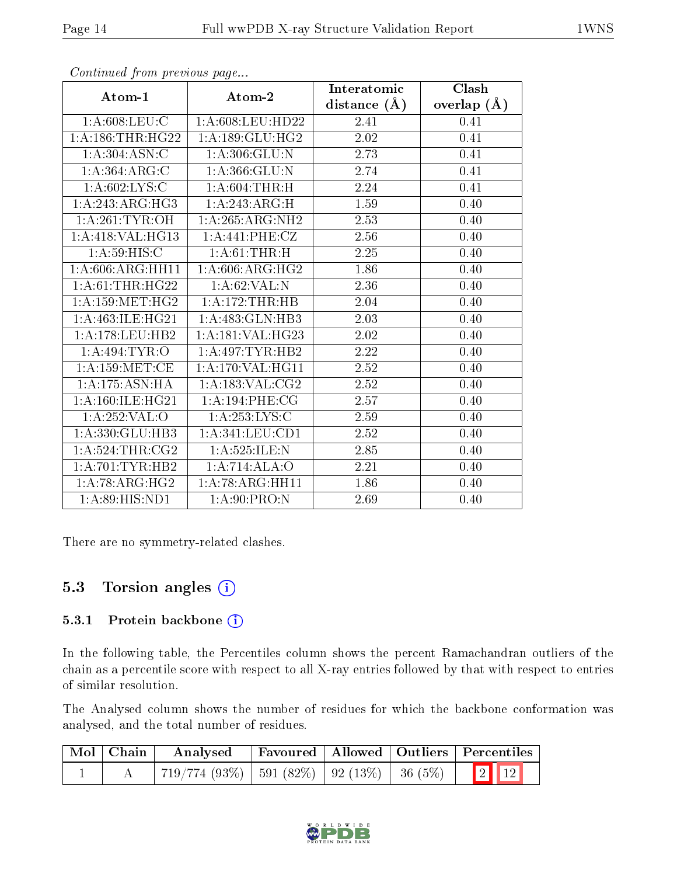| Atom-1                     | Atom-2              | Interatomic    | <b>Clash</b>  |
|----------------------------|---------------------|----------------|---------------|
|                            |                     | distance $(A)$ | overlap $(A)$ |
| 1: A:608:LEU:C             | 1: A:608:LEU:HD22   | 2.41           | 0.41          |
| 1: A: 186: THR: HG22       | 1: A: 189: GLU: HG2 | 2.02           | 0.41          |
| 1: A:304: ASN: C           | 1: A:306: GLU:N     | 2.73           | 0.41          |
| $1:A:364.\overline{ARG:C}$ | 1:A:366:GLU:N       | 2.74           | 0.41          |
| 1: A:602:LYS:C             | 1: A:604:THR:H      | 2.24           | 0.41          |
| 1:A:243:ARG:HG3            | 1:A:243:ARG:H       | 1.59           | 0.40          |
| 1: A:261:TYR:OH            | 1:A:265:ARG:NH2     | 2.53           | 0.40          |
| 1:A:418:VAL:HG13           | 1:A:441:PHE:CZ      | 2.56           | 0.40          |
| 1: A:59: HIS:C             | 1: A:61:THR:H       | 2.25           | 0.40          |
| 1: A:606: ARG: HH11        | 1: A:606:ARG:HG2    | 1.86           | 0.40          |
| 1: A:61:THR:HG22           | 1: A:62:VAL: N      | 2.36           | 0.40          |
| 1: A: 159: MET: HG2        | 1:A:172:THR:HB      | 2.04           | 0.40          |
| 1: A: 463: ILE: HG21       | 1:A:483:GLN:HB3     | 2.03           | 0.40          |
| 1: A:178: LEU:HB2          | 1: A:181: VAL:HG23  | 2.02           | 0.40          |
| 1: A:494:TYR:O             | 1: A:497:TYR:HB2    | 2.22           | 0.40          |
| 1: A:159: MET:CE           | 1: A:170: VAL: HG11 | 2.52           | 0.40          |
| 1: A: 175: ASN: HA         | 1:A:183:VAL:CG2     | 2.52           | 0.40          |
| 1: A: 160: ILE: HG21       | 1:A:194:PHE:CG      | 2.57           | 0.40          |
| 1:A:252:VAL:O              | 1: A: 253: LYS: C   | 2.59           | 0.40          |
| 1:A:330:GLU:HB3            | 1: A:341:LEU:CD1    | 2.52           | 0.40          |
| 1: A:524:THR:CG2           | 1: A:525: ILE:N     | 2.85           | 0.40          |
| 1:A:701:TYR:HB2            | 1:A:714:ALA:O       | 2.21           | 0.40          |
| 1:A:78:ARG:HG2             | 1:A:78:ARG:HH11     | 1.86           | 0.40          |
| 1: A:89: HIS: ND1          | 1: A:90: PRO: N     | 2.69           | 0.40          |

There are no symmetry-related clashes.

### 5.3 Torsion angles (i)

#### 5.3.1 Protein backbone (i)

In the following table, the Percentiles column shows the percent Ramachandran outliers of the chain as a percentile score with respect to all X-ray entries followed by that with respect to entries of similar resolution.

The Analysed column shows the number of residues for which the backbone conformation was analysed, and the total number of residues.

| Mol Chain | $\boldsymbol{\mathrm{Analysed}}$                 |  | Favoured   Allowed   Outliers   Percentiles |
|-----------|--------------------------------------------------|--|---------------------------------------------|
|           | $719/774(93\%)$   591 (82%)   92 (13%)   36 (5%) |  | $\boxed{2}$                                 |

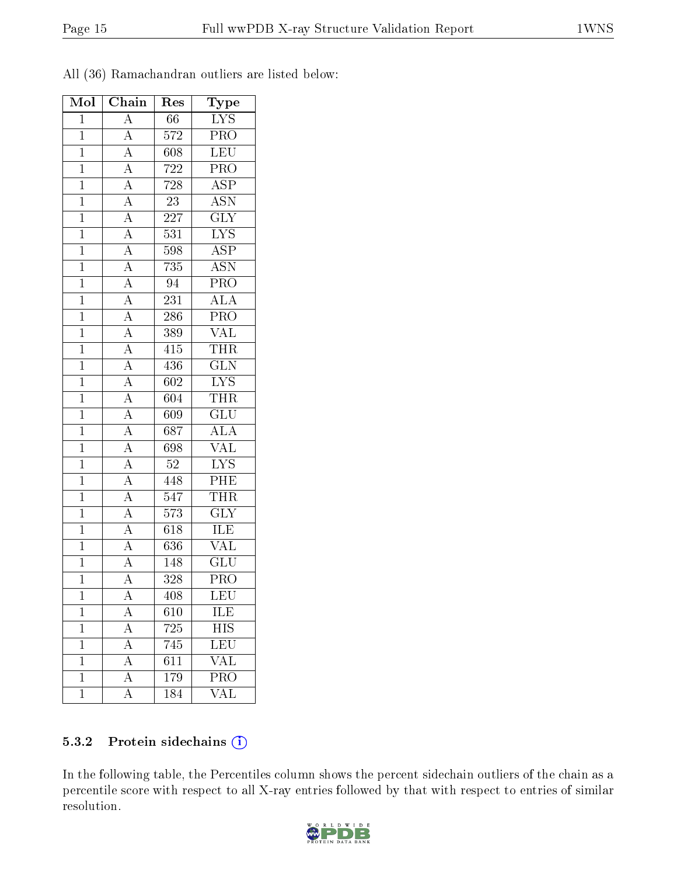All (36) Ramachandran outliers are listed below:

| Mol            | Chain                                                                                                                                                                                                                                                                                                                                                                                                                                                                                                             | Res              | Type                                                  |
|----------------|-------------------------------------------------------------------------------------------------------------------------------------------------------------------------------------------------------------------------------------------------------------------------------------------------------------------------------------------------------------------------------------------------------------------------------------------------------------------------------------------------------------------|------------------|-------------------------------------------------------|
| $\mathbf{1}$   | $\overline{A}$                                                                                                                                                                                                                                                                                                                                                                                                                                                                                                    | 66               | $\overline{\text{LYS}}$                               |
| $\overline{1}$ |                                                                                                                                                                                                                                                                                                                                                                                                                                                                                                                   | 572              | $\overline{\text{PRO}}$                               |
| $\overline{1}$ |                                                                                                                                                                                                                                                                                                                                                                                                                                                                                                                   | 608              | $\overline{\text{LEU}}$                               |
| $\overline{1}$ |                                                                                                                                                                                                                                                                                                                                                                                                                                                                                                                   | 722              | PRO                                                   |
| $\mathbf 1$    |                                                                                                                                                                                                                                                                                                                                                                                                                                                                                                                   | $728\,$          | $\overline{\text{ASP}}$                               |
| $\overline{1}$ |                                                                                                                                                                                                                                                                                                                                                                                                                                                                                                                   | $\overline{23}$  | $\overline{\mathrm{ASN}}$                             |
| $\overline{1}$ |                                                                                                                                                                                                                                                                                                                                                                                                                                                                                                                   | 227              | $\overline{\text{GLY}}$                               |
| $\mathbf{1}$   |                                                                                                                                                                                                                                                                                                                                                                                                                                                                                                                   | $\overline{531}$ | $\overline{\text{LYS}}$                               |
| $\mathbf{1}$   |                                                                                                                                                                                                                                                                                                                                                                                                                                                                                                                   | 598              | $\overline{\text{ASP}}$                               |
| $\overline{1}$ |                                                                                                                                                                                                                                                                                                                                                                                                                                                                                                                   | 735              | <b>ASN</b>                                            |
| $\overline{1}$ |                                                                                                                                                                                                                                                                                                                                                                                                                                                                                                                   | $\sqrt{94}$      | $\overline{\text{PRO}}$                               |
| $\overline{1}$ | $\frac{\overline{A}}{\overline{A}}\frac{\overline{A}}{\overline{A}}\frac{\overline{A}}{\overline{A}}\frac{\overline{A}}{\overline{A}}\frac{\overline{A}}{\overline{A}}\frac{\overline{A}}{\overline{A}}\frac{\overline{A}}{\overline{A}}\frac{\overline{A}}{\overline{A}}\frac{\overline{A}}{\overline{A}}\frac{\overline{A}}{\overline{A}}\frac{\overline{A}}{\overline{A}}\frac{\overline{A}}{\overline{A}}\frac{\overline{A}}{\overline{A}}\frac{\overline{A}}{\overline{A}}\frac{\overline{A}}{\overline{A}}$ | $2\overline{31}$ | $\overline{\rm ALA}$                                  |
| $\overline{1}$ |                                                                                                                                                                                                                                                                                                                                                                                                                                                                                                                   | <b>286</b>       | PRO                                                   |
| $\mathbf{1}$   |                                                                                                                                                                                                                                                                                                                                                                                                                                                                                                                   | 389              | $\frac{\text{VAL}}{\text{THR}}$                       |
| $\overline{1}$ |                                                                                                                                                                                                                                                                                                                                                                                                                                                                                                                   | $\overline{415}$ |                                                       |
| $\mathbf{1}$   |                                                                                                                                                                                                                                                                                                                                                                                                                                                                                                                   | $4\overline{36}$ | $\frac{\overline{GLN}}{}$                             |
| $\overline{1}$ |                                                                                                                                                                                                                                                                                                                                                                                                                                                                                                                   | $\overline{602}$ | $\overline{\text{LYS}}$                               |
| $\overline{1}$ |                                                                                                                                                                                                                                                                                                                                                                                                                                                                                                                   | 604              | $\overline{\text{THR}}$                               |
| $\overline{1}$ |                                                                                                                                                                                                                                                                                                                                                                                                                                                                                                                   | 609              | $\overline{\text{GLU}}$                               |
| $\mathbf{1}$   |                                                                                                                                                                                                                                                                                                                                                                                                                                                                                                                   | $68\overline{7}$ |                                                       |
| $\overline{1}$ |                                                                                                                                                                                                                                                                                                                                                                                                                                                                                                                   | 698              | $\frac{\overline{\text{ALA}}}{\overline{\text{VAL}}}$ |
| $\overline{1}$ |                                                                                                                                                                                                                                                                                                                                                                                                                                                                                                                   | $52\,$           | $\overline{\text{LYS}}$                               |
| $\mathbf{1}$   |                                                                                                                                                                                                                                                                                                                                                                                                                                                                                                                   | 448              | $\overline{\rm{PHE}}$                                 |
| $\mathbf{1}$   |                                                                                                                                                                                                                                                                                                                                                                                                                                                                                                                   | 547              | <b>THR</b>                                            |
| $\mathbf{1}$   |                                                                                                                                                                                                                                                                                                                                                                                                                                                                                                                   | 573              | $\overline{\text{GLY}}$                               |
| $\mathbf{1}$   |                                                                                                                                                                                                                                                                                                                                                                                                                                                                                                                   | 618              | <b>ILE</b>                                            |
| $\overline{1}$ |                                                                                                                                                                                                                                                                                                                                                                                                                                                                                                                   | 636              | $\overline{\text{VAL}}$                               |
| $\overline{1}$ |                                                                                                                                                                                                                                                                                                                                                                                                                                                                                                                   | 148              | $\overline{\mathrm{GLU}}$                             |
| $\mathbf 1$    |                                                                                                                                                                                                                                                                                                                                                                                                                                                                                                                   | 328              | PRŌ                                                   |
| $\mathbf 1$    | А                                                                                                                                                                                                                                                                                                                                                                                                                                                                                                                 | 408              | $\overline{\text{LEU}}$                               |
| $\mathbf{1}$   | $\rm A$                                                                                                                                                                                                                                                                                                                                                                                                                                                                                                           | 610              | ILE                                                   |
| $\overline{1}$ | $\overline{A}$                                                                                                                                                                                                                                                                                                                                                                                                                                                                                                    | 725              | <b>HIS</b>                                            |
| $\mathbf{1}$   | $\overline{\rm A}$                                                                                                                                                                                                                                                                                                                                                                                                                                                                                                | 745              | LEU                                                   |
| $\mathbf{1}$   | $\overline{\rm A}$                                                                                                                                                                                                                                                                                                                                                                                                                                                                                                | 611              | VAL                                                   |
| $\mathbf{1}$   | $\overline{\rm A}$                                                                                                                                                                                                                                                                                                                                                                                                                                                                                                | 179              | PRO                                                   |
| $\overline{1}$ | A                                                                                                                                                                                                                                                                                                                                                                                                                                                                                                                 | 184              | $\overline{\text{VAL}}$                               |

#### 5.3.2 Protein sidechains (i)

In the following table, the Percentiles column shows the percent sidechain outliers of the chain as a percentile score with respect to all X-ray entries followed by that with respect to entries of similar resolution.

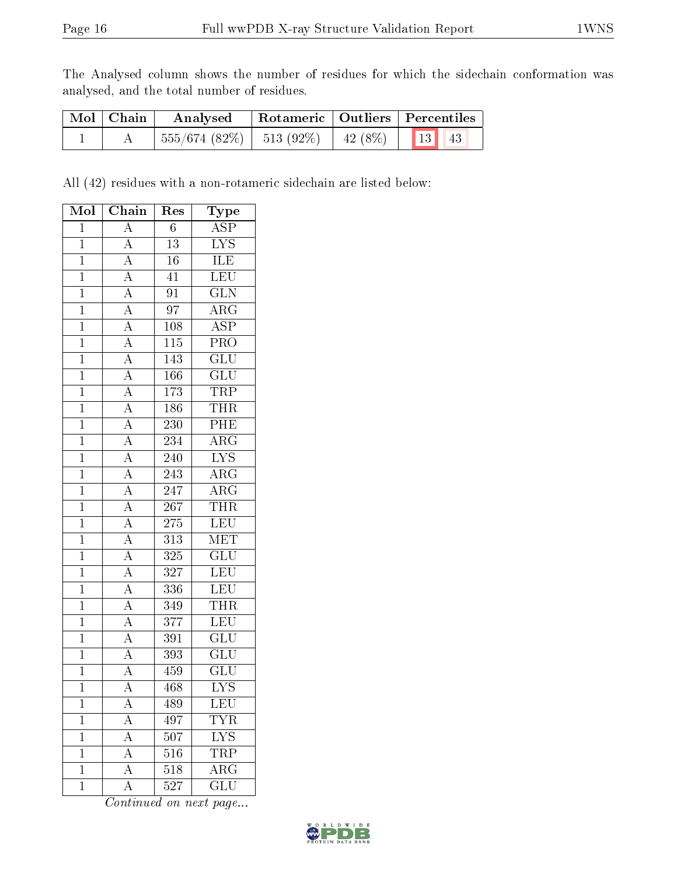The Analysed column shows the number of residues for which the sidechain conformation was analysed, and the total number of residues.

| Mol   Chain | Analysed |  | Rotameric   Outliers   Percentiles |
|-------------|----------|--|------------------------------------|
|             |          |  | $\vert$ 43                         |

All (42) residues with a non-rotameric sidechain are listed below:

| Mol            | Chain                                                                      | Res              | Type                    |
|----------------|----------------------------------------------------------------------------|------------------|-------------------------|
| $\mathbf{1}$   | $\overline{A}$                                                             | $\overline{6}$   | $\overline{\text{ASP}}$ |
| $\overline{1}$ | $\overline{A}$                                                             | $\overline{13}$  | $\overline{\text{LYS}}$ |
| $\overline{1}$ | $\overline{A}$                                                             | 16               | ILE                     |
| $\overline{1}$ | $\overline{A}$                                                             | $\overline{41}$  | $\overline{\text{LEU}}$ |
| $\overline{1}$ | $\overline{A}$                                                             | $\overline{91}$  | $\overline{\text{GLN}}$ |
| $\overline{1}$ |                                                                            | 97               | $\overline{\rm{ARG}}$   |
| $\overline{1}$ | $\frac{\overline{A}}{\overline{A}}$                                        | 108              | $\overline{\text{ASP}}$ |
| $\overline{1}$ | $\overline{A}$                                                             | $\overline{115}$ | PRO                     |
| $\overline{1}$ | $\overline{A}$                                                             | 143              | $\overline{\text{GLU}}$ |
| $\mathbf{1}$   |                                                                            | $166\,$          | GLU                     |
| $\mathbf{1}$   |                                                                            | $\overline{173}$ | TRP                     |
| $\overline{1}$ | $\frac{\overline{A}}{\overline{A}}$ $\frac{\overline{A}}{\overline{A}}$    | 186              | <b>THR</b>              |
| $\mathbf{1}$   |                                                                            | 230              | $\overline{\rm{PHE}}$   |
| $\overline{1}$ | $\frac{\overline{A}}{\overline{A}}$ $\frac{\overline{A}}{\overline{A}}$    | $\overline{234}$ | $\overline{\rm ARG}$    |
| $\mathbf{1}$   |                                                                            | 240              | <b>LYS</b>              |
| $\mathbf{1}$   |                                                                            | 243              | $\overline{\rm{ARG}}$   |
| $\overline{1}$ |                                                                            | 247              | $\overline{\rm{ARG}}$   |
| $\overline{1}$ | $\frac{\overline{A}}{\overline{A}}$<br>$\frac{\overline{A}}{\overline{A}}$ | 267              | <b>THR</b>              |
| $\overline{1}$ |                                                                            | $\overline{275}$ | <b>LEU</b>              |
| $\mathbf{1}$   |                                                                            | $3\overline{13}$ | MET                     |
| $\overline{1}$ |                                                                            | $\overline{325}$ | $\overline{\text{GLU}}$ |
| $\overline{1}$ | $\overline{A}$                                                             | 327              | LEU                     |
| $\overline{1}$ | $\overline{A}$                                                             | $336\,$          | LEU                     |
| $\overline{1}$ | $\overline{A}$                                                             | 349              | <b>THR</b>              |
| $\overline{1}$ | $\overline{A}$                                                             | 377              | LEU                     |
| $\mathbf{1}$   | $\overline{A}$                                                             | $391\,$          | $\overline{\text{GLU}}$ |
| $\overline{1}$ | $\overline{A}$                                                             | 393              | $\overline{\text{GLU}}$ |
| $\overline{1}$ | $\overline{A}$                                                             | 459              | $\overline{{\rm GLU}}$  |
| $\mathbf{1}$   | $\overline{\rm A}$                                                         | 468              | $\overline{\text{LYS}}$ |
| $\mathbf{1}$   | A                                                                          | 489              | LEU                     |
| $\mathbf 1$    | $\overline{A}$                                                             | 497              | $\overline{\text{TYR}}$ |
| $\mathbf 1$    | $\overline{A}$                                                             | 507              | ${\rm LYS}$             |
| $\overline{1}$ | $\overline{A}$                                                             | 516              | <b>TRP</b>              |
| $\mathbf 1$    | $\overline{A}$                                                             | 518              | $\rm{ARG}$              |
| $\mathbf 1$    | $\overline{\rm A}$                                                         | 527              | $\overline{{\rm GLU}}$  |

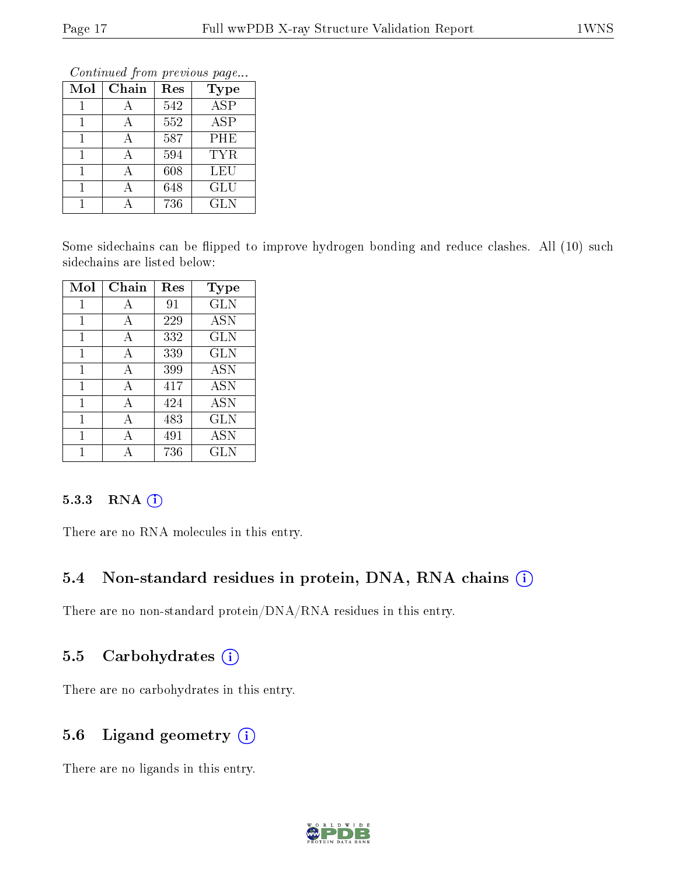Continued from previous page...

| Mol | Chain | Res | <b>Type</b> |
|-----|-------|-----|-------------|
|     |       | 542 | ASP         |
|     |       | 552 | ASP         |
|     |       | 587 | <b>PHE</b>  |
|     |       | 594 | TYR.        |
|     |       | 608 | LEU         |
|     |       | 648 | GLU         |
|     |       | 736 | GLN         |

Some sidechains can be flipped to improve hydrogen bonding and reduce clashes. All (10) such sidechains are listed below:

| Mol | Chain | Res | <b>Type</b> |
|-----|-------|-----|-------------|
| 1   | А     | 91  | <b>GLN</b>  |
| 1   | А     | 229 | ASN         |
| 1   | А     | 332 | <b>GLN</b>  |
| 1   | А     | 339 | <b>GLN</b>  |
| 1   | А     | 399 | ASN         |
| 1   | A     | 417 | ASN         |
| 1   | А     | 424 | ASN         |
| 1   | А     | 483 | <b>GLN</b>  |
| 1   | А     | 491 | <b>ASN</b>  |
|     |       | 736 | <b>GLN</b>  |

#### 5.3.3 RNA (i)

There are no RNA molecules in this entry.

#### 5.4 Non-standard residues in protein, DNA, RNA chains (i)

There are no non-standard protein/DNA/RNA residues in this entry.

### 5.5 Carbohydrates (i)

There are no carbohydrates in this entry.

#### 5.6 Ligand geometry (i)

There are no ligands in this entry.

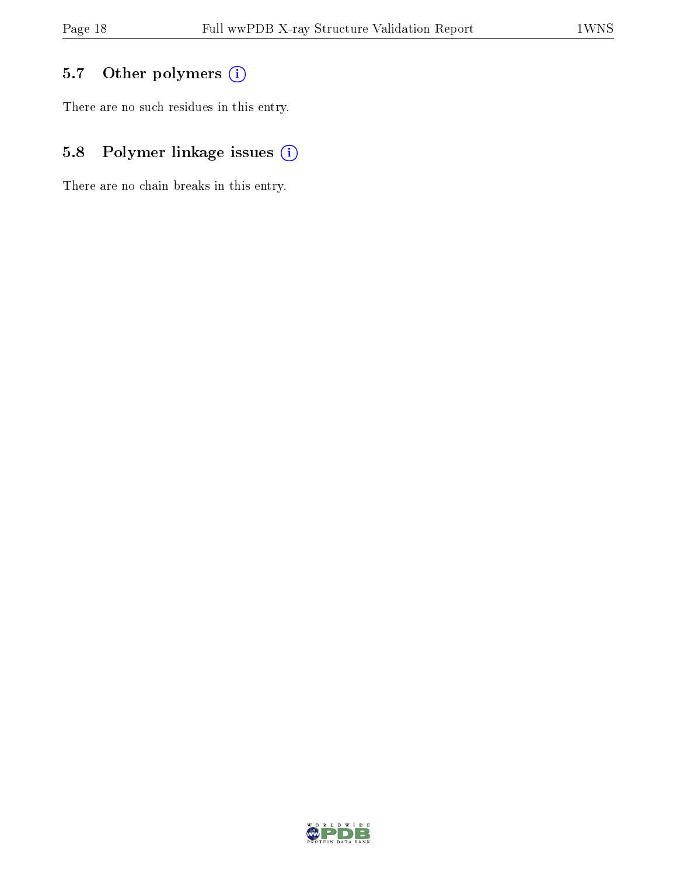## 5.7 [O](https://www.wwpdb.org/validation/2017/XrayValidationReportHelp#nonstandard_residues_and_ligands)ther polymers (i)

There are no such residues in this entry.

## 5.8 Polymer linkage issues (i)

There are no chain breaks in this entry.